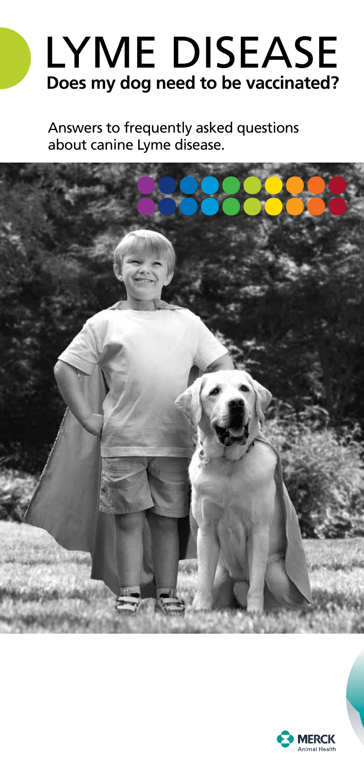# **Does my dog need to be vaccinated?** lyme Disease

Answers to frequently asked questions about canine Lyme disease.



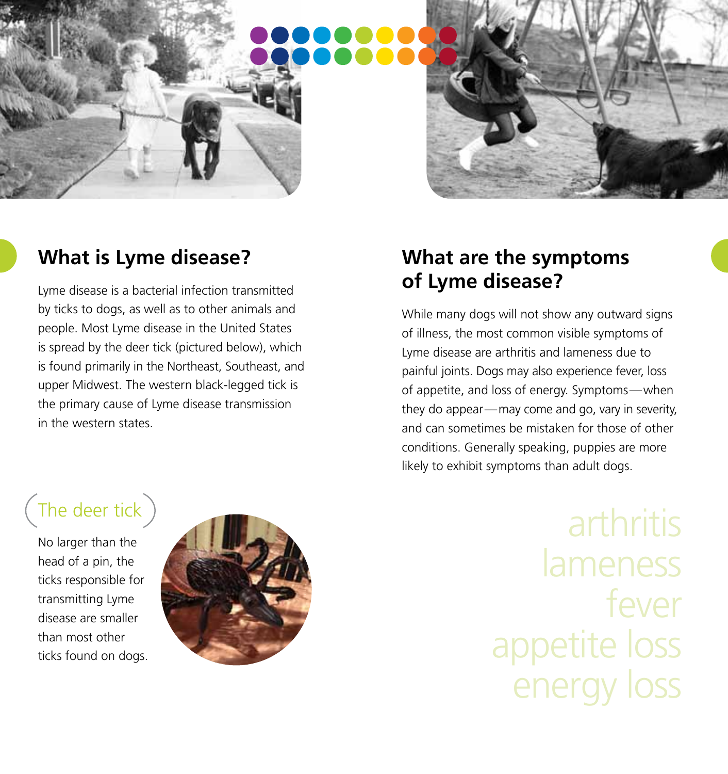### **What is Lyme disease?**

Lyme disease is a bacterial infection transmitted by ticks to dogs, as well as to other animals and people. Most Lyme disease in the United States is spread by the deer tick (pictured below), which is found primarily in the Northeast, Southeast, and upper Midwest. The western black-legged tick is the primary cause of Lyme disease transmission in the western states.

No larger than the head of a pin, the ticks responsible for transmitting Lyme disease are smaller than most other ticks found on dogs.



### **What are the symptoms of Lyme disease?**

While many dogs will not show any outward signs of illness, the most common visible symptoms of Lyme disease are arthritis and lameness due to painful joints. Dogs may also experience fever, loss of appetite, and loss of energy. Symptoms—when they do appear—may come and go, vary in severity, and can sometimes be mistaken for those of other conditions. Generally speaking, puppies are more likely to exhibit symptoms than adult dogs.

> lameness fever appetite loss energy loss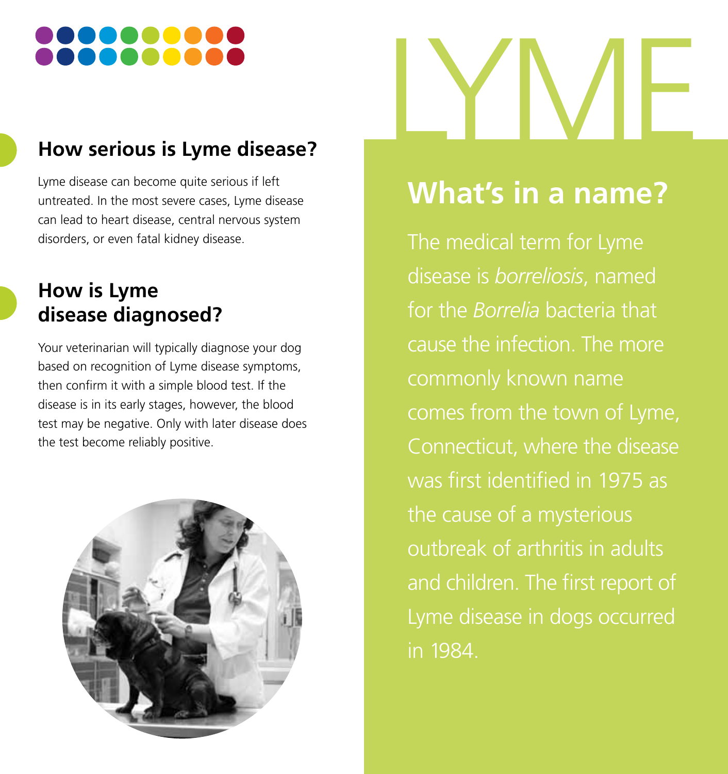### **How serious is Lyme disease?**

Lyme disease can become quite serious if left untreated. In the most severe cases, Lyme disease can lead to heart disease, central nervous system disorders, or even fatal kidney disease.

### **How is Lyme disease diagnosed?**

Your veterinarian will typically diagnose your dog based on recognition of Lyme disease symptoms, then confirm it with a simple blood test. If the disease is in its early stages, however, the blood test may be negative. Only with later disease does the test become reliably positive.





# **What's in a name?**

The medical term for Lyme disease is *borreliosis*, named for the *Borrelia* bacteria that cause the infection. The more commonly known name comes from the town of Lyme, Connecticut, where the disease was first identified in 1975 as the cause of a mysterious outbreak of arthritis in adults and children. The first report of Lyme disease in dogs occurred in 1984.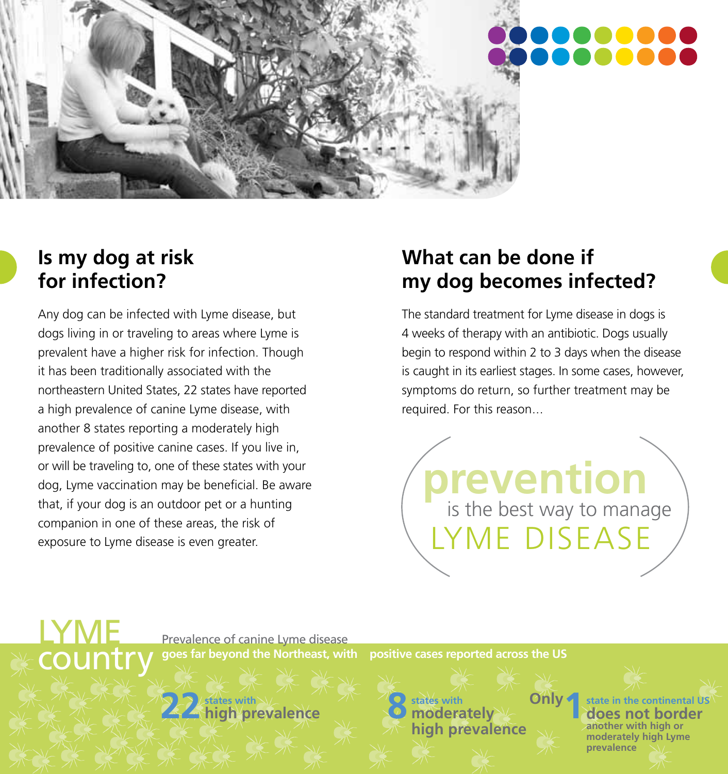

### **Is my dog at risk for infection?**

LYME

country

Any dog can be infected with Lyme disease, but dogs living in or traveling to areas where Lyme is prevalent have a higher risk for infection. Though it has been traditionally associated with the northeastern United States, 22 states have reported a high prevalence of canine Lyme disease, with another 8 states reporting a moderately high prevalence of positive canine cases. If you live in, or will be traveling to, one of these states with your dog, Lyme vaccination may be beneficial. Be aware that, if your dog is an outdoor pet or a hunting companion in one of these areas, the risk of exposure to Lyme disease is even greater.

### **What can be done if my dog becomes infected?**

The standard treatment for Lyme disease in dogs is 4 weeks of therapy with an antibiotic. Dogs usually begin to respond within 2 to 3 days when the disease is caught in its earliest stages. In some cases, however, symptoms do return, so further treatment may be required. For this reason...

**prevention** is the best way to manage LYME DISEASE

**1 Only**

Prevalence of canine Lyme disease **goes far beyond the Northeast, with positive cases reported across the US**

**22** *states with* and **22 index** with **22 moderately high prevalence**

**states with 88 <b>State in the continental US**<br>**8 ones not border does not border another with high or moderately high Lyme prevalence**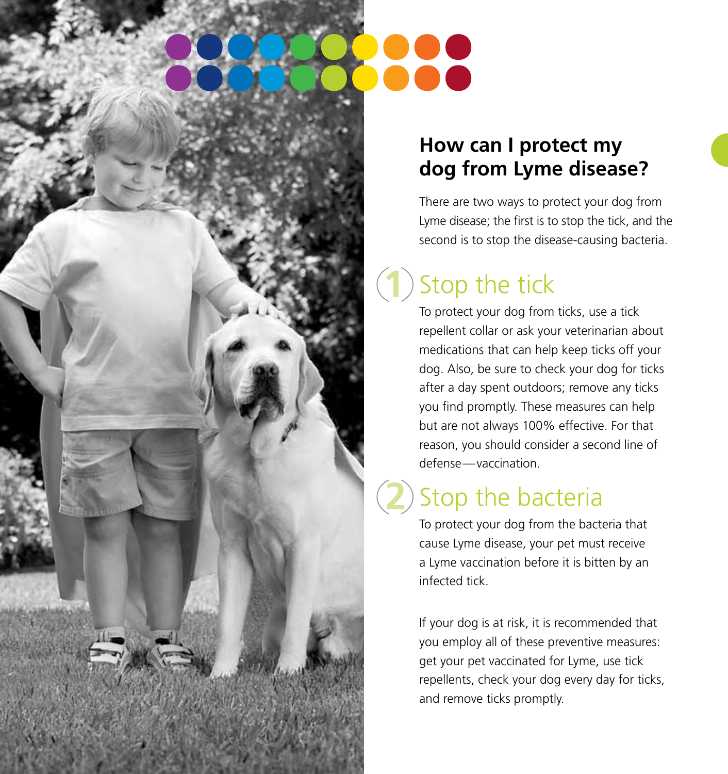### **How can I protect my dog from Lyme disease?**

There are two ways to protect your dog from Lyme disease; the first is to stop the tick, and the second is to stop the disease-causing bacteria.

### Stop the tick **1**

To protect your dog from ticks, use a tick repellent collar or ask your veterinarian about medications that can help keep ticks off your dog. Also, be sure to check your dog for ticks after a day spent outdoors; remove any ticks you find promptly. These measures can help but are not always 100% effective. For that reason, you should consider a second line of defense—vaccination.

## Stop the bacteria

**2**

To protect your dog from the bacteria that cause Lyme disease, your pet must receive a Lyme vaccination before it is bitten by an infected tick.

If your dog is at risk, it is recommended that you employ all of these preventive measures: get your pet vaccinated for Lyme, use tick repellents, check your dog every day for ticks, and remove ticks promptly.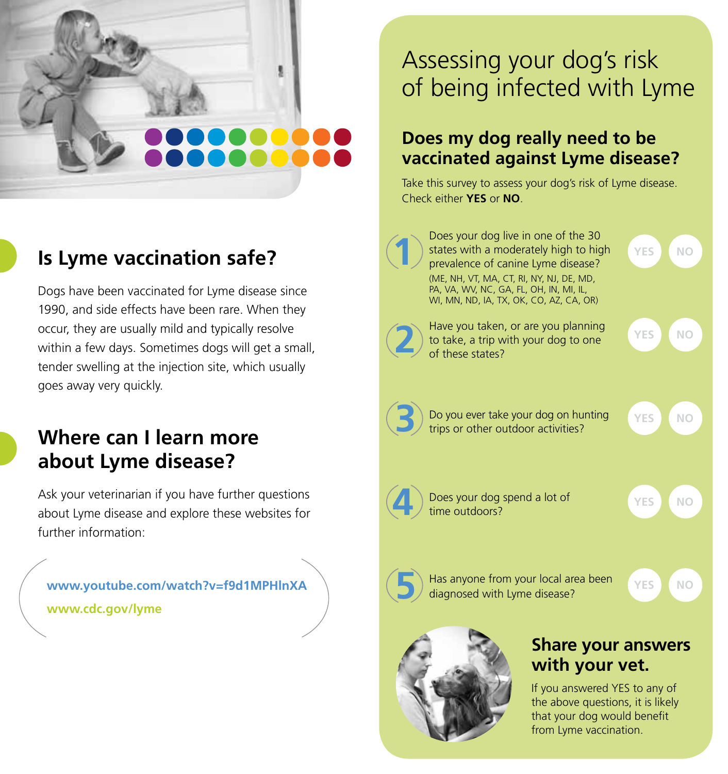## **Is Lyme vaccination safe?**

Dogs have been vaccinated for Lyme disease since 1990, and side effects have been rare. When they occur, they are usually mild and typically resolve within a few days. Sometimes dogs will get a small, tender swelling at the injection site, which usually goes away very quickly.

### **Where can I learn more about Lyme disease?**

Ask your veterinarian if you have further questions about Lyme disease and explore these websites for further information:

**www.youtube.com/watch?v=f9d1MPHlnXA www.cdc.gov/lyme**

## Assessing your dog's risk of being infected with Lyme

### **Does my dog really need to be vaccinated against Lyme disease?**

Take this survey to assess your dog's risk of Lyme disease. Check either **YES** or **NO**.